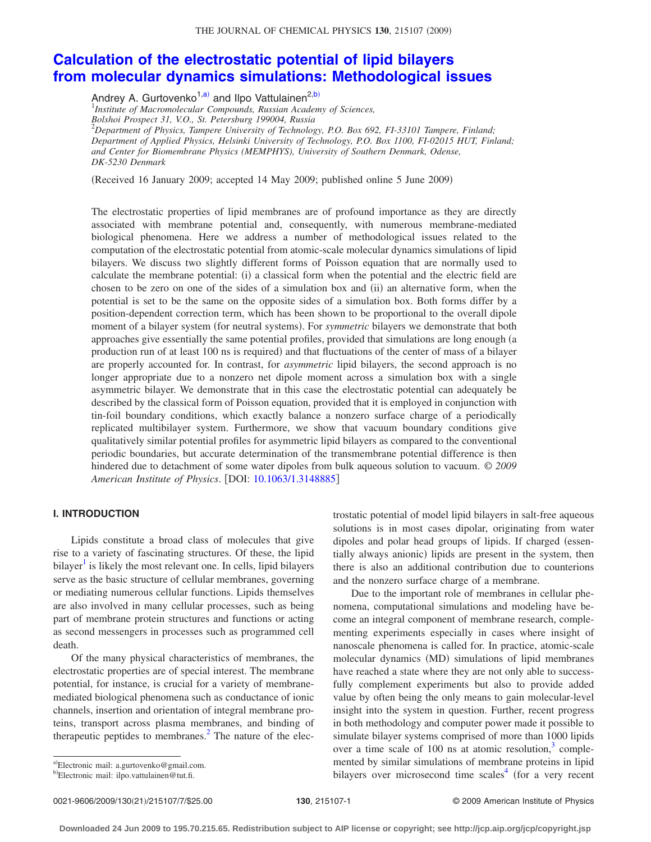#### THE JOURNAL OF CHEMICAL PHYSICS 130, 215107 (2009)

# **[Calculation of the electrostatic potential of lipid bilayers](http://dx.doi.org/10.1063/1.3148885) [from molecular dynamics simulations: Methodological issues](http://dx.doi.org/10.1063/1.3148885)**

Andrey A. Gurtovenko<sup>1[,a](#page-0-0))</sup> and Ilpo Vattulainen<sup>2[,b](#page-0-1))</sup>

1 *Institute of Macromolecular Compounds, Russian Academy of Sciences, Bolshoi Prospect 31, V.O., St. Petersburg 199004, Russia* 2 *Department of Physics, Tampere University of Technology, P.O. Box 692, FI-33101 Tampere, Finland; Department of Applied Physics, Helsinki University of Technology, P.O. Box 1100, FI-02015 HUT, Finland; and Center for Biomembrane Physics (MEMPHYS), University of Southern Denmark, Odense, DK-5230 Denmark*

(Received 16 January 2009; accepted 14 May 2009; published online 5 June 2009)

The electrostatic properties of lipid membranes are of profound importance as they are directly associated with membrane potential and, consequently, with numerous membrane-mediated biological phenomena. Here we address a number of methodological issues related to the computation of the electrostatic potential from atomic-scale molecular dynamics simulations of lipid bilayers. We discuss two slightly different forms of Poisson equation that are normally used to calculate the membrane potential: (i) a classical form when the potential and the electric field are chosen to be zero on one of the sides of a simulation box and (ii) an alternative form, when the potential is set to be the same on the opposite sides of a simulation box. Both forms differ by a position-dependent correction term, which has been shown to be proportional to the overall dipole moment of a bilayer system (for neutral systems). For *symmetric* bilayers we demonstrate that both approaches give essentially the same potential profiles, provided that simulations are long enough (a production run of at least 100 ns is required) and that fluctuations of the center of mass of a bilayer are properly accounted for. In contrast, for *asymmetric* lipid bilayers, the second approach is no longer appropriate due to a nonzero net dipole moment across a simulation box with a single asymmetric bilayer. We demonstrate that in this case the electrostatic potential can adequately be described by the classical form of Poisson equation, provided that it is employed in conjunction with tin-foil boundary conditions, which exactly balance a nonzero surface charge of a periodically replicated multibilayer system. Furthermore, we show that vacuum boundary conditions give qualitatively similar potential profiles for asymmetric lipid bilayers as compared to the conventional periodic boundaries, but accurate determination of the transmembrane potential difference is then hindered due to detachment of some water dipoles from bulk aqueous solution to vacuum. © *2009 American Institute of Physics*. DOI: [10.1063/1.3148885](http://dx.doi.org/10.1063/1.3148885)

# **I. INTRODUCTION**

Lipids constitute a broad class of molecules that give rise to a variety of fascinating structures. Of these, the lipid  $bilayer<sup>1</sup>$  is likely the most relevant one. In cells, lipid bilayers serve as the basic structure of cellular membranes, governing or mediating numerous cellular functions. Lipids themselves are also involved in many cellular processes, such as being part of membrane protein structures and functions or acting as second messengers in processes such as programmed cell death.

Of the many physical characteristics of membranes, the electrostatic properties are of special interest. The membrane potential, for instance, is crucial for a variety of membranemediated biological phenomena such as conductance of ionic channels, insertion and orientation of integral membrane proteins, transport across plasma membranes, and binding of therapeutic peptides to membranes. $<sup>2</sup>$  The nature of the elec-</sup>

trostatic potential of model lipid bilayers in salt-free aqueous solutions is in most cases dipolar, originating from water dipoles and polar head groups of lipids. If charged (essentially always anionic) lipids are present in the system, then there is also an additional contribution due to counterions and the nonzero surface charge of a membrane.

Due to the important role of membranes in cellular phenomena, computational simulations and modeling have become an integral component of membrane research, complementing experiments especially in cases where insight of nanoscale phenomena is called for. In practice, atomic-scale molecular dynamics (MD) simulations of lipid membranes have reached a state where they are not only able to successfully complement experiments but also to provide added value by often being the only means to gain molecular-level insight into the system in question. Further, recent progress in both methodology and computer power made it possible to simulate bilayer systems comprised of more than 1000 lipids over a time scale of 100 ns at atomic resolution, $3$  complemented by similar simulations of membrane proteins in lipid bilayers over microsecond time scales<sup>4</sup> (for a very recent

<span id="page-0-0"></span>a)Electronic mail: a.gurtovenko@gmail.com.

<span id="page-0-1"></span><sup>&</sup>lt;sup>b)</sup>Electronic mail: ilpo.vattulainen@tut.fi.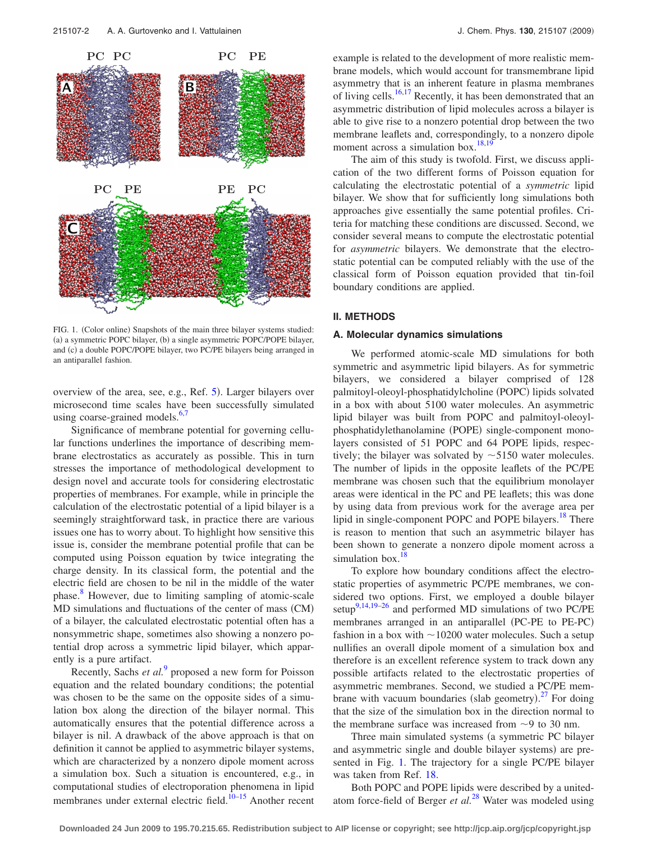<span id="page-1-0"></span>

FIG. 1. (Color online) Snapshots of the main three bilayer systems studied: (a) a symmetric POPC bilayer, (b) a single asymmetric POPC/POPE bilayer, and (c) a double POPC/POPE bilayer, two PC/PE bilayers being arranged in an antiparallel fashion.

overview of the area, see, e.g., Ref. [5](#page-6-4)). Larger bilayers over microsecond time scales have been successfully simulated using coarse-grained models. $6,7$  $6,7$ 

Significance of membrane potential for governing cellular functions underlines the importance of describing membrane electrostatics as accurately as possible. This in turn stresses the importance of methodological development to design novel and accurate tools for considering electrostatic properties of membranes. For example, while in principle the calculation of the electrostatic potential of a lipid bilayer is a seemingly straightforward task, in practice there are various issues one has to worry about. To highlight how sensitive this issue is, consider the membrane potential profile that can be computed using Poisson equation by twice integrating the charge density. In its classical form, the potential and the electric field are chosen to be nil in the middle of the water phase.<sup>8</sup> However, due to limiting sampling of atomic-scale MD simulations and fluctuations of the center of mass (CM) of a bilayer, the calculated electrostatic potential often has a nonsymmetric shape, sometimes also showing a nonzero potential drop across a symmetric lipid bilayer, which apparently is a pure artifact.

Recently, Sachs *et al.*[9](#page-6-8) proposed a new form for Poisson equation and the related boundary conditions; the potential was chosen to be the same on the opposite sides of a simulation box along the direction of the bilayer normal. This automatically ensures that the potential difference across a bilayer is nil. A drawback of the above approach is that on definition it cannot be applied to asymmetric bilayer systems, which are characterized by a nonzero dipole moment across a simulation box. Such a situation is encountered, e.g., in computational studies of electroporation phenomena in lipid membranes under external electric field.<sup>10–[15](#page-6-10)</sup> Another recent example is related to the development of more realistic membrane models, which would account for transmembrane lipid asymmetry that is an inherent feature in plasma membranes of living cells.<sup>16[,17](#page-6-12)</sup> Recently, it has been demonstrated that an asymmetric distribution of lipid molecules across a bilayer is able to give rise to a nonzero potential drop between the two membrane leaflets and, correspondingly, to a nonzero dipole moment across a simulation box.<sup>18[,19](#page-6-14)</sup>

The aim of this study is twofold. First, we discuss application of the two different forms of Poisson equation for calculating the electrostatic potential of a *symmetric* lipid bilayer. We show that for sufficiently long simulations both approaches give essentially the same potential profiles. Criteria for matching these conditions are discussed. Second, we consider several means to compute the electrostatic potential for *asymmetric* bilayers. We demonstrate that the electrostatic potential can be computed reliably with the use of the classical form of Poisson equation provided that tin-foil boundary conditions are applied.

### **II. METHODS**

## **A. Molecular dynamics simulations**

We performed atomic-scale MD simulations for both symmetric and asymmetric lipid bilayers. As for symmetric bilayers, we considered a bilayer comprised of 128 palmitoyl-oleoyl-phosphatidylcholine (POPC) lipids solvated in a box with about 5100 water molecules. An asymmetric lipid bilayer was built from POPC and palmitoyl-oleoylphosphatidylethanolamine (POPE) single-component monolayers consisted of 51 POPC and 64 POPE lipids, respectively; the bilayer was solvated by  $\sim$  5150 water molecules. The number of lipids in the opposite leaflets of the PC/PE membrane was chosen such that the equilibrium monolayer areas were identical in the PC and PE leaflets; this was done by using data from previous work for the average area per lipid in single-component POPC and POPE bilayers.<sup>18</sup> There is reason to mention that such an asymmetric bilayer has been shown to generate a nonzero dipole moment across a simulation box. $18$ 

To explore how boundary conditions affect the electrostatic properties of asymmetric PC/PE membranes, we considered two options. First, we employed a double bilayer setup<sup>9,[14,](#page-6-15)[19](#page-6-14)[–26](#page-6-16)</sup> and performed MD simulations of two PC/PE membranes arranged in an antiparallel (PC-PE to PE-PC) fashion in a box with  $\sim$  10200 water molecules. Such a setup nullifies an overall dipole moment of a simulation box and therefore is an excellent reference system to track down any possible artifacts related to the electrostatic properties of asymmetric membranes. Second, we studied a PC/PE membrane with vacuum boundaries (slab geometry). $27$  For doing that the size of the simulation box in the direction normal to the membrane surface was increased from  $\sim$ 9 to 30 nm.

Three main simulated systems (a symmetric PC bilayer and asymmetric single and double bilayer systems) are presented in Fig. [1.](#page-1-0) The trajectory for a single PC/PE bilayer was taken from Ref. [18.](#page-6-13)

Both POPC and POPE lipids were described by a unitedatom force-field of Berger *et al.*[28](#page-6-18) Water was modeled using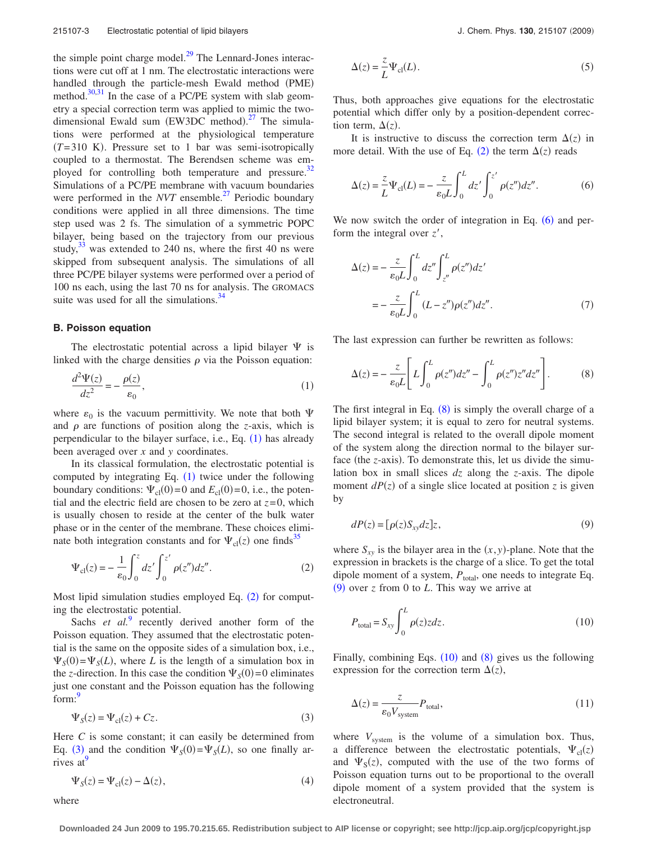the simple point charge model. $^{29}$  The Lennard-Jones interactions were cut off at 1 nm. The electrostatic interactions were handled through the particle-mesh Ewald method (PME) method. $30,31$  $30,31$  In the case of a PC/PE system with slab geometry a special correction term was applied to mimic the twodimensional Ewald sum  $(EW3DC \text{ method})$ .<sup>[27](#page-6-17)</sup> The simulations were performed at the physiological temperature  $(T=310)$  K). Pressure set to 1 bar was semi-isotropically coupled to a thermostat. The Berendsen scheme was employed for controlling both temperature and pressure.<sup>32</sup> Simulations of a PC/PE membrane with vacuum boundaries were performed in the *NVT* ensemble.<sup>27</sup> Periodic boundary conditions were applied in all three dimensions. The time step used was 2 fs. The simulation of a symmetric POPC bilayer, being based on the trajectory from our previous study, $33$  was extended to 240 ns, where the first 40 ns were skipped from subsequent analysis. The simulations of all three PC/PE bilayer systems were performed over a period of 100 ns each, using the last 70 ns for analysis. The GROMACS suite was used for all the simulations. $34$ 

## **B. Poisson equation**

The electrostatic potential across a lipid bilayer  $\Psi$  is linked with the charge densities  $\rho$  via the Poisson equation:

<span id="page-2-0"></span>
$$
\frac{d^2\Psi(z)}{dz^2} = -\frac{\rho(z)}{\varepsilon_0},\tag{1}
$$

where  $\varepsilon_0$  is the vacuum permittivity. We note that both  $\Psi$ and  $\rho$  are functions of position along the *z*-axis, which is perpendicular to the bilayer surface, i.e., Eq. ([1](#page-2-0)) has already been averaged over *x* and *y* coordinates.

In its classical formulation, the electrostatic potential is computed by integrating Eq.  $(1)$  $(1)$  $(1)$  twice under the following boundary conditions:  $\Psi_{\text{cl}}(0) = 0$  and  $E_{\text{cl}}(0) = 0$ , i.e., the potential and the electric field are chosen to be zero at  $z=0$ , which is usually chosen to reside at the center of the bulk water phase or in the center of the membrane. These choices eliminate both integration constants and for  $\Psi_{\text{cl}}(z)$  one finds<sup>35</sup>

<span id="page-2-1"></span>
$$
\Psi_{\rm cl}(z) = -\frac{1}{\varepsilon_0} \int_0^z dz' \int_0^{z'} \rho(z'') dz''.
$$
 (2)

Most lipid simulation studies employed Eq.  $(2)$  $(2)$  $(2)$  for computing the electrostatic potential.

Sachs *et al.*<sup>[9](#page-6-8)</sup> recently derived another form of the Poisson equation. They assumed that the electrostatic potential is the same on the opposite sides of a simulation box, i.e.,  $\Psi_S(0) = \Psi_S(L)$ , where *L* is the length of a simulation box in the *z*-direction. In this case the condition  $\Psi_{S}(0) = 0$  eliminates just one constant and the Poisson equation has the following form:<sup>9</sup>

$$
\Psi_{S}(z) = \Psi_{\text{cl}}(z) + Cz. \tag{3}
$$

<span id="page-2-2"></span>Here *C* is some constant; it can easily be determined from Eq. ([3](#page-2-2)) and the condition  $\Psi_S(0) = \Psi_S(L)$ , so one finally arrives at

<span id="page-2-7"></span>
$$
\Psi_{S}(z) = \Psi_{\text{cl}}(z) - \Delta(z),\tag{4}
$$

where

$$
\Delta(z) = \frac{z}{L} \Psi_{\text{cl}}(L). \tag{5}
$$

Thus, both approaches give equations for the electrostatic potential which differ only by a position-dependent correction term,  $\Delta(z)$ .

It is instructive to discuss the correction term  $\Delta(z)$  in more detail. With the use of Eq.  $(2)$  $(2)$  $(2)$  the term  $\Delta(z)$  reads

<span id="page-2-3"></span>
$$
\Delta(z) = \frac{z}{L} \Psi_{\text{cl}}(L) = -\frac{z}{\varepsilon_0 L} \int_0^L dz' \int_0^{z'} \rho(z'') dz''.
$$
 (6)

We now switch the order of integration in Eq.  $(6)$  $(6)$  $(6)$  and perform the integral over  $z'$ ,

$$
\Delta(z) = -\frac{z}{\varepsilon_0 L} \int_0^L dz'' \int_{z''}^L \rho(z'') dz'
$$

$$
= -\frac{z}{\varepsilon_0 L} \int_0^L (L - z'') \rho(z'') dz''.
$$
(7)

<span id="page-2-4"></span>The last expression can further be rewritten as follows:

$$
\Delta(z) = -\frac{z}{\varepsilon_0 L} \left[ L \int_0^L \rho(z'') dz'' - \int_0^L \rho(z'') z'' dz'' \right].
$$
 (8)

The first integral in Eq.  $(8)$  $(8)$  $(8)$  is simply the overall charge of a lipid bilayer system; it is equal to zero for neutral systems. The second integral is related to the overall dipole moment of the system along the direction normal to the bilayer surface (the *z*-axis). To demonstrate this, let us divide the simulation box in small slices *dz* along the *z*-axis. The dipole moment  $dP(z)$  of a single slice located at position *z* is given by

<span id="page-2-5"></span>
$$
dP(z) = [\rho(z)S_{xy}dz]z, \qquad (9)
$$

where  $S_{xy}$  is the bilayer area in the  $(x, y)$ -plane. Note that the expression in brackets is the charge of a slice. To get the total dipole moment of a system,  $P_{total}$ , one needs to integrate Eq.  $(9)$  $(9)$  $(9)$  over *z* from 0 to *L*. This way we arrive at

<span id="page-2-6"></span>
$$
P_{\text{total}} = S_{xy} \int_0^L \rho(z) z dz.
$$
 (10)

Finally, combining Eqs.  $(10)$  $(10)$  $(10)$  and  $(8)$  $(8)$  $(8)$  gives us the following expression for the correction term  $\Delta(z)$ ,

<span id="page-2-8"></span>
$$
\Delta(z) = \frac{z}{\varepsilon_0 V_{\text{system}}} P_{\text{total}},\tag{11}
$$

where  $V_{\text{system}}$  is the volume of a simulation box. Thus, a difference between the electrostatic potentials,  $\Psi_{cl}(z)$ and  $\Psi_S(z)$ , computed with the use of the two forms of Poisson equation turns out to be proportional to the overall dipole moment of a system provided that the system is electroneutral.

**Downloaded 24 Jun 2009 to 195.70.215.65. Redistribution subject to AIP license or copyright; see http://jcp.aip.org/jcp/copyright.jsp**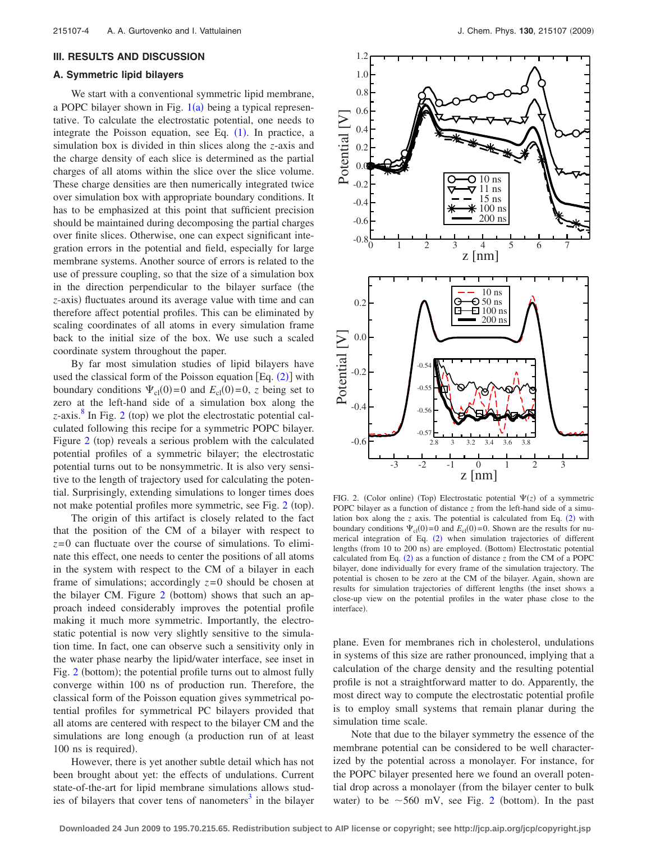#### **III. RESULTS AND DISCUSSION**

## **A. Symmetric lipid bilayers**

We start with a conventional symmetric lipid membrane, a POPC bilayer shown in Fig.  $1(a)$  $1(a)$  being a typical representative. To calculate the electrostatic potential, one needs to integrate the Poisson equation, see Eq.  $(1)$  $(1)$  $(1)$ . In practice, a simulation box is divided in thin slices along the *z*-axis and the charge density of each slice is determined as the partial charges of all atoms within the slice over the slice volume. These charge densities are then numerically integrated twice over simulation box with appropriate boundary conditions. It has to be emphasized at this point that sufficient precision should be maintained during decomposing the partial charges over finite slices. Otherwise, one can expect significant integration errors in the potential and field, especially for large membrane systems. Another source of errors is related to the use of pressure coupling, so that the size of a simulation box in the direction perpendicular to the bilayer surface (the z-axis) fluctuates around its average value with time and can therefore affect potential profiles. This can be eliminated by scaling coordinates of all atoms in every simulation frame back to the initial size of the box. We use such a scaled coordinate system throughout the paper.

By far most simulation studies of lipid bilayers have used the classical form of the Poisson equation  $[Eq. (2)]$  $[Eq. (2)]$  $[Eq. (2)]$  with boundary conditions  $\Psi_{cl}(0) = 0$  and  $E_{cl}(0) = 0$ , *z* being set to zero at the left-hand side of a simulation box along the  $z$ -axis.<sup>8</sup> In Fig. [2](#page-3-0) (top) we plot the electrostatic potential calculated following this recipe for a symmetric POPC bilayer. Figure [2](#page-3-0) (top) reveals a serious problem with the calculated potential profiles of a symmetric bilayer; the electrostatic potential turns out to be nonsymmetric. It is also very sensitive to the length of trajectory used for calculating the potential. Surprisingly, extending simulations to longer times does not make potential profiles more symmetric, see Fig. [2](#page-3-0) (top).

The origin of this artifact is closely related to the fact that the position of the CM of a bilayer with respect to  $z=0$  can fluctuate over the course of simulations. To eliminate this effect, one needs to center the positions of all atoms in the system with respect to the CM of a bilayer in each frame of simulations; accordingly  $z=0$  should be chosen at the bilayer CM. Figure [2](#page-3-0) (bottom) shows that such an approach indeed considerably improves the potential profile making it much more symmetric. Importantly, the electrostatic potential is now very slightly sensitive to the simulation time. In fact, one can observe such a sensitivity only in the water phase nearby the lipid/water interface, see inset in Fig. [2](#page-3-0) (bottom); the potential profile turns out to almost fully converge within 100 ns of production run. Therefore, the classical form of the Poisson equation gives symmetrical potential profiles for symmetrical PC bilayers provided that all atoms are centered with respect to the bilayer CM and the simulations are long enough (a production run of at least 100 ns is required).

However, there is yet another subtle detail which has not been brought about yet: the effects of undulations. Current state-of-the-art for lipid membrane simulations allows studies of bilayers that cover tens of nanometers<sup>3</sup> in the bilayer

<span id="page-3-0"></span>

FIG. 2. (Color online) (Top) Electrostatic potential  $\Psi(z)$  of a symmetric POPC bilayer as a function of distance *z* from the left-hand side of a simulation box along the  $z$  axis. The potential is calculated from Eq.  $(2)$  $(2)$  $(2)$  with boundary conditions  $\Psi_{cl}(0) = 0$  and  $E_{cl}(0) = 0$ . Shown are the results for nu-merical integration of Eq. ([2](#page-2-1)) when simulation trajectories of different lengths (from 10 to 200 ns) are employed. (Bottom) Electrostatic potential calculated from Eq.  $(2)$  $(2)$  $(2)$  as a function of distance  $z$  from the CM of a POPC bilayer, done individually for every frame of the simulation trajectory. The potential is chosen to be zero at the CM of the bilayer. Again, shown are results for simulation trajectories of different lengths (the inset shows a close-up view on the potential profiles in the water phase close to the interface).

plane. Even for membranes rich in cholesterol, undulations in systems of this size are rather pronounced, implying that a calculation of the charge density and the resulting potential profile is not a straightforward matter to do. Apparently, the most direct way to compute the electrostatic potential profile is to employ small systems that remain planar during the simulation time scale.

Note that due to the bilayer symmetry the essence of the membrane potential can be considered to be well characterized by the potential across a monolayer. For instance, for the POPC bilayer presented here we found an overall potential drop across a monolayer from the bilayer center to bulk water) to be  $\sim$  560 mV, see Fig. [2](#page-3-0) (bottom). In the past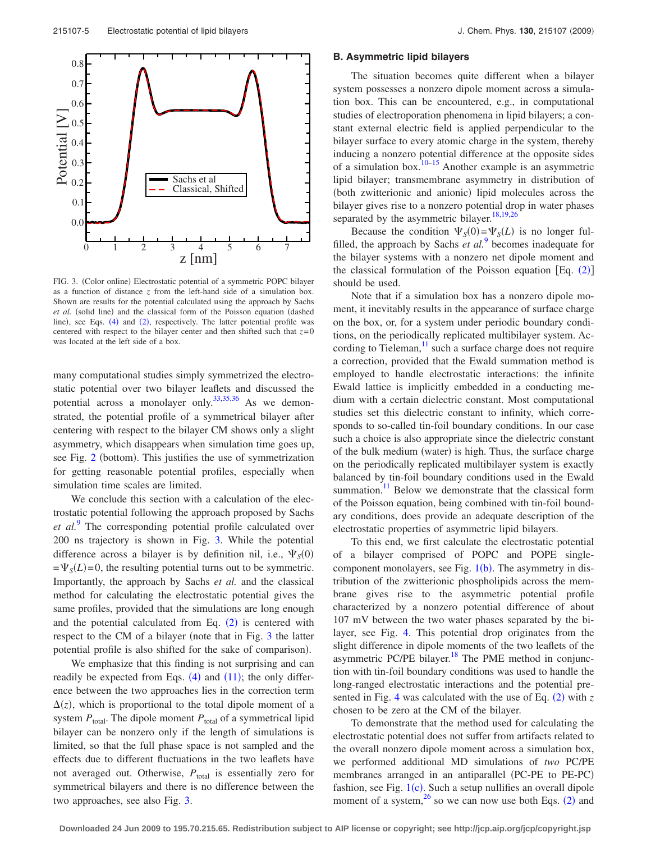<span id="page-4-0"></span>

FIG. 3. (Color online) Electrostatic potential of a symmetric POPC bilayer as a function of distance *z* from the left-hand side of a simulation box. Shown are results for the potential calculated using the approach by Sachs et al. (solid line) and the classical form of the Poisson equation (dashed line), see Eqs. ([4](#page-2-7)) and ([2](#page-2-1)), respectively. The latter potential profile was centered with respect to the bilayer center and then shifted such that *z*= 0 was located at the left side of a box.

many computational studies simply symmetrized the electrostatic potential over two bilayer leaflets and discussed the potential across a monolayer only. $33,35,36$  $33,35,36$  $33,35,36$  As we demonstrated, the potential profile of a symmetrical bilayer after centering with respect to the bilayer CM shows only a slight asymmetry, which disappears when simulation time goes up, see Fig. [2](#page-3-0) (bottom). This justifies the use of symmetrization for getting reasonable potential profiles, especially when simulation time scales are limited.

We conclude this section with a calculation of the electrostatic potential following the approach proposed by Sachs *et al.*[9](#page-6-8) The corresponding potential profile calculated over 200 ns trajectory is shown in Fig. [3.](#page-4-0) While the potential difference across a bilayer is by definition nil, i.e.,  $\Psi_S(0)$  $=\Psi_S(L)=0$ , the resulting potential turns out to be symmetric. Importantly, the approach by Sachs *et al.* and the classical method for calculating the electrostatic potential gives the same profiles, provided that the simulations are long enough and the potential calculated from Eq.  $(2)$  $(2)$  $(2)$  is centered with respect to the CM of a bilayer (note that in Fig. [3](#page-4-0) the latter potential profile is also shifted for the sake of comparison).

We emphasize that this finding is not surprising and can readily be expected from Eqs.  $(4)$  $(4)$  $(4)$  and  $(11)$  $(11)$  $(11)$ ; the only difference between the two approaches lies in the correction term  $\Delta(z)$ , which is proportional to the total dipole moment of a system  $P_{\text{total}}$ . The dipole moment  $P_{\text{total}}$  of a symmetrical lipid bilayer can be nonzero only if the length of simulations is limited, so that the full phase space is not sampled and the effects due to different fluctuations in the two leaflets have not averaged out. Otherwise,  $P_{total}$  is essentially zero for symmetrical bilayers and there is no difference between the two approaches, see also Fig. [3.](#page-4-0)

#### **B. Asymmetric lipid bilayers**

The situation becomes quite different when a bilayer system possesses a nonzero dipole moment across a simulation box. This can be encountered, e.g., in computational studies of electroporation phenomena in lipid bilayers; a constant external electric field is applied perpendicular to the bilayer surface to every atomic charge in the system, thereby inducing a nonzero potential difference at the opposite sides of a simulation box.<sup>10[–15](#page-6-10)</sup> Another example is an asymmetric lipid bilayer; transmembrane asymmetry in distribution of (both zwitterionic and anionic) lipid molecules across the bilayer gives rise to a nonzero potential drop in water phases separated by the asymmetric bilayer.<sup>18,[19,](#page-6-14)[26](#page-6-16)</sup>

Because the condition  $\Psi_S(0) = \Psi_S(L)$  is no longer fulfilled, the approach by Sachs *et al.*[9](#page-6-8) becomes inadequate for the bilayer systems with a nonzero net dipole moment and the classical formulation of the Poisson equation  $[Eq. (2)]$  $[Eq. (2)]$  $[Eq. (2)]$ should be used.

Note that if a simulation box has a nonzero dipole moment, it inevitably results in the appearance of surface charge on the box, or, for a system under periodic boundary conditions, on the periodically replicated multibilayer system. According to Tieleman, $\frac{11}{1}$  such a surface charge does not require a correction, provided that the Ewald summation method is employed to handle electrostatic interactions: the infinite Ewald lattice is implicitly embedded in a conducting medium with a certain dielectric constant. Most computational studies set this dielectric constant to infinity, which corresponds to so-called tin-foil boundary conditions. In our case such a choice is also appropriate since the dielectric constant of the bulk medium (water) is high. Thus, the surface charge on the periodically replicated multibilayer system is exactly balanced by tin-foil boundary conditions used in the Ewald summation.<sup>11</sup> Below we demonstrate that the classical form of the Poisson equation, being combined with tin-foil boundary conditions, does provide an adequate description of the electrostatic properties of asymmetric lipid bilayers.

To this end, we first calculate the electrostatic potential of a bilayer comprised of POPC and POPE singlecomponent monolayers, see Fig.  $1(b)$  $1(b)$ . The asymmetry in distribution of the zwitterionic phospholipids across the membrane gives rise to the asymmetric potential profile characterized by a nonzero potential difference of about 107 mV between the two water phases separated by the bilayer, see Fig. [4.](#page-5-0) This potential drop originates from the slight difference in dipole moments of the two leaflets of the asymmetric PC/PE bilayer. $18$  The PME method in conjunction with tin-foil boundary conditions was used to handle the long-ranged electrostatic interactions and the potential pre-sented in Fig. [4](#page-5-0) was calculated with the use of Eq.  $(2)$  $(2)$  $(2)$  with z chosen to be zero at the CM of the bilayer.

To demonstrate that the method used for calculating the electrostatic potential does not suffer from artifacts related to the overall nonzero dipole moment across a simulation box, we performed additional MD simulations of *two* PC/PE membranes arranged in an antiparallel (PC-PE to PE-PC) fashion, see Fig.  $1(c)$  $1(c)$ . Such a setup nullifies an overall dipole moment of a system,<sup>[2](#page-2-1)6</sup> so we can now use both Eqs. (2) and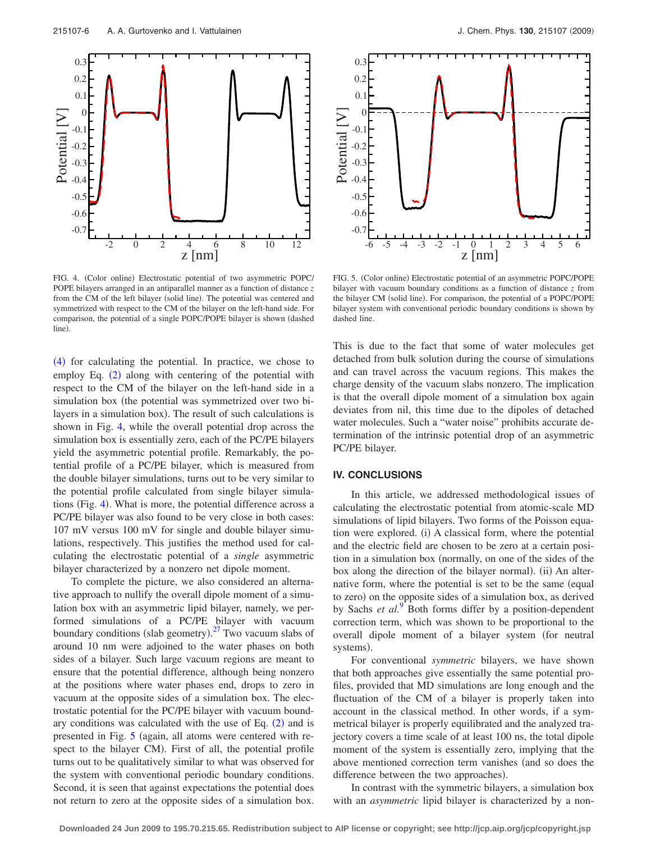<span id="page-5-0"></span>

FIG. 4. (Color online) Electrostatic potential of two asymmetric POPC/ POPE bilayers arranged in an antiparallel manner as a function of distance *z* from the CM of the left bilayer (solid line). The potential was centered and symmetrized with respect to the CM of the bilayer on the left-hand side. For comparison, the potential of a single POPC/POPE bilayer is shown dashed line).

([4](#page-2-7)) for calculating the potential. In practice, we chose to employ Eq. ([2](#page-2-1)) along with centering of the potential with respect to the CM of the bilayer on the left-hand side in a simulation box (the potential was symmetrized over two bilayers in a simulation box). The result of such calculations is shown in Fig. [4,](#page-5-0) while the overall potential drop across the simulation box is essentially zero, each of the PC/PE bilayers yield the asymmetric potential profile. Remarkably, the potential profile of a PC/PE bilayer, which is measured from the double bilayer simulations, turns out to be very similar to the potential profile calculated from single bilayer simula-tions (Fig. [4](#page-5-0)). What is more, the potential difference across a PC/PE bilayer was also found to be very close in both cases: 107 mV versus 100 mV for single and double bilayer simulations, respectively. This justifies the method used for calculating the electrostatic potential of a *single* asymmetric bilayer characterized by a nonzero net dipole moment.

To complete the picture, we also considered an alternative approach to nullify the overall dipole moment of a simulation box with an asymmetric lipid bilayer, namely, we performed simulations of a PC/PE bilayer with vacuum boundary conditions (slab geometry).<sup>[27](#page-6-17)</sup> Two vacuum slabs of around 10 nm were adjoined to the water phases on both sides of a bilayer. Such large vacuum regions are meant to ensure that the potential difference, although being nonzero at the positions where water phases end, drops to zero in vacuum at the opposite sides of a simulation box. The electrostatic potential for the PC/PE bilayer with vacuum boundary conditions was calculated with the use of Eq.  $(2)$  $(2)$  $(2)$  and is presented in Fig. [5](#page-5-1) (again, all atoms were centered with respect to the bilayer CM). First of all, the potential profile turns out to be qualitatively similar to what was observed for the system with conventional periodic boundary conditions. Second, it is seen that against expectations the potential does not return to zero at the opposite sides of a simulation box.

<span id="page-5-1"></span>

FIG. 5. (Color online) Electrostatic potential of an asymmetric POPC/POPE bilayer with vacuum boundary conditions as a function of distance *z* from the bilayer CM (solid line). For comparison, the potential of a POPC/POPE bilayer system with conventional periodic boundary conditions is shown by dashed line.

This is due to the fact that some of water molecules get detached from bulk solution during the course of simulations and can travel across the vacuum regions. This makes the charge density of the vacuum slabs nonzero. The implication is that the overall dipole moment of a simulation box again deviates from nil, this time due to the dipoles of detached water molecules. Such a "water noise" prohibits accurate determination of the intrinsic potential drop of an asymmetric PC/PE bilayer.

## **IV. CONCLUSIONS**

In this article, we addressed methodological issues of calculating the electrostatic potential from atomic-scale MD simulations of lipid bilayers. Two forms of the Poisson equation were explored. (i) A classical form, where the potential and the electric field are chosen to be zero at a certain position in a simulation box (normally, on one of the sides of the box along the direction of the bilayer normal). (ii) An alternative form, where the potential is set to be the same (equal to zero) on the opposite sides of a simulation box, as derived by Sachs *et al.*<sup>[9](#page-6-8)</sup> Both forms differ by a position-dependent correction term, which was shown to be proportional to the overall dipole moment of a bilayer system (for neutral systems).

For conventional *symmetric* bilayers, we have shown that both approaches give essentially the same potential profiles, provided that MD simulations are long enough and the fluctuation of the CM of a bilayer is properly taken into account in the classical method. In other words, if a symmetrical bilayer is properly equilibrated and the analyzed trajectory covers a time scale of at least 100 ns, the total dipole moment of the system is essentially zero, implying that the above mentioned correction term vanishes (and so does the difference between the two approaches).

In contrast with the symmetric bilayers, a simulation box with an *asymmetric* lipid bilayer is characterized by a non-